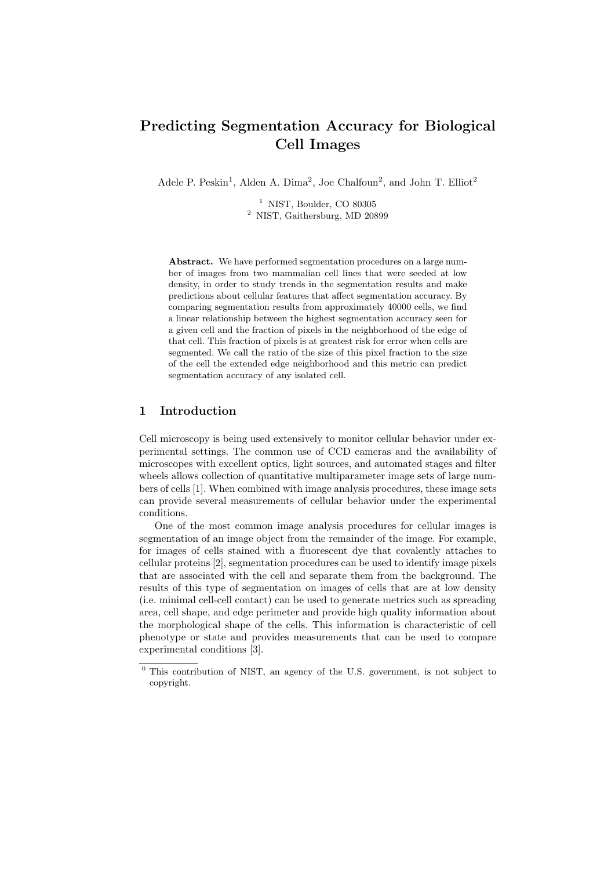# Predicting Segmentation Accuracy for Biological Cell Images

Adele P. Peskin<sup>1</sup>, Alden A. Dima<sup>2</sup>, Joe Chalfoun<sup>2</sup>, and John T. Elliot<sup>2</sup>

 $<sup>1</sup>$  NIST, Boulder, CO 80305</sup> <sup>2</sup> NIST, Gaithersburg, MD 20899

Abstract. We have performed segmentation procedures on a large number of images from two mammalian cell lines that were seeded at low density, in order to study trends in the segmentation results and make predictions about cellular features that affect segmentation accuracy. By comparing segmentation results from approximately 40000 cells, we find a linear relationship between the highest segmentation accuracy seen for a given cell and the fraction of pixels in the neighborhood of the edge of that cell. This fraction of pixels is at greatest risk for error when cells are segmented. We call the ratio of the size of this pixel fraction to the size of the cell the extended edge neighborhood and this metric can predict segmentation accuracy of any isolated cell.

# 1 Introduction

Cell microscopy is being used extensively to monitor cellular behavior under experimental settings. The common use of CCD cameras and the availability of microscopes with excellent optics, light sources, and automated stages and filter wheels allows collection of quantitative multiparameter image sets of large numbers of cells [1]. When combined with image analysis procedures, these image sets can provide several measurements of cellular behavior under the experimental conditions.

One of the most common image analysis procedures for cellular images is segmentation of an image object from the remainder of the image. For example, for images of cells stained with a fluorescent dye that covalently attaches to cellular proteins [2], segmentation procedures can be used to identify image pixels that are associated with the cell and separate them from the background. The results of this type of segmentation on images of cells that are at low density (i.e. minimal cell-cell contact) can be used to generate metrics such as spreading area, cell shape, and edge perimeter and provide high quality information about the morphological shape of the cells. This information is characteristic of cell phenotype or state and provides measurements that can be used to compare experimental conditions [3].

 $0$  This contribution of NIST, an agency of the U.S. government, is not subject to copyright.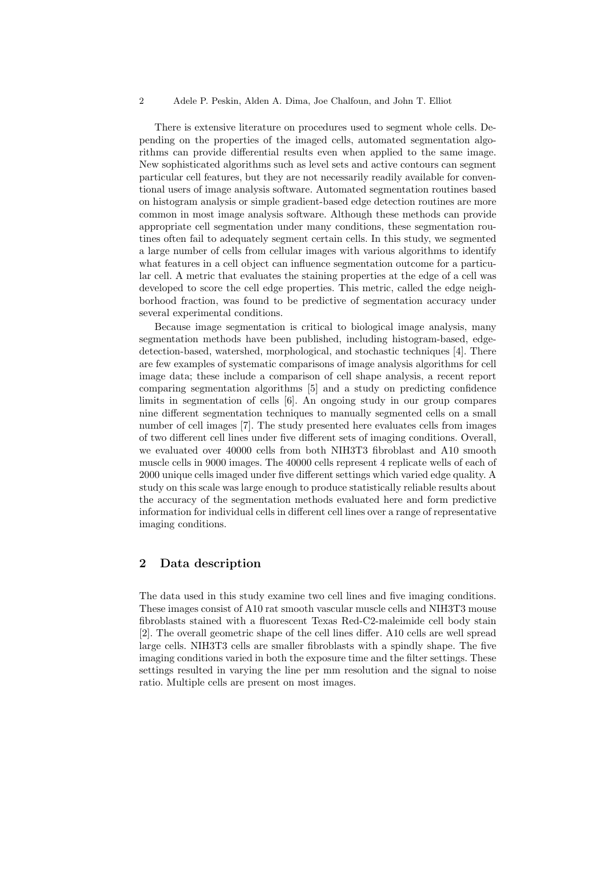There is extensive literature on procedures used to segment whole cells. Depending on the properties of the imaged cells, automated segmentation algorithms can provide differential results even when applied to the same image. New sophisticated algorithms such as level sets and active contours can segment particular cell features, but they are not necessarily readily available for conventional users of image analysis software. Automated segmentation routines based on histogram analysis or simple gradient-based edge detection routines are more common in most image analysis software. Although these methods can provide appropriate cell segmentation under many conditions, these segmentation routines often fail to adequately segment certain cells. In this study, we segmented a large number of cells from cellular images with various algorithms to identify what features in a cell object can influence segmentation outcome for a particular cell. A metric that evaluates the staining properties at the edge of a cell was developed to score the cell edge properties. This metric, called the edge neighborhood fraction, was found to be predictive of segmentation accuracy under several experimental conditions.

Because image segmentation is critical to biological image analysis, many segmentation methods have been published, including histogram-based, edgedetection-based, watershed, morphological, and stochastic techniques [4]. There are few examples of systematic comparisons of image analysis algorithms for cell image data; these include a comparison of cell shape analysis, a recent report comparing segmentation algorithms [5] and a study on predicting confidence limits in segmentation of cells [6]. An ongoing study in our group compares nine different segmentation techniques to manually segmented cells on a small number of cell images [7]. The study presented here evaluates cells from images of two different cell lines under five different sets of imaging conditions. Overall, we evaluated over 40000 cells from both NIH3T3 fibroblast and A10 smooth muscle cells in 9000 images. The 40000 cells represent 4 replicate wells of each of 2000 unique cells imaged under five different settings which varied edge quality. A study on this scale was large enough to produce statistically reliable results about the accuracy of the segmentation methods evaluated here and form predictive information for individual cells in different cell lines over a range of representative imaging conditions.

# 2 Data description

The data used in this study examine two cell lines and five imaging conditions. These images consist of A10 rat smooth vascular muscle cells and NIH3T3 mouse fibroblasts stained with a fluorescent Texas Red-C2-maleimide cell body stain [2]. The overall geometric shape of the cell lines differ. A10 cells are well spread large cells. NIH3T3 cells are smaller fibroblasts with a spindly shape. The five imaging conditions varied in both the exposure time and the filter settings. These settings resulted in varying the line per mm resolution and the signal to noise ratio. Multiple cells are present on most images.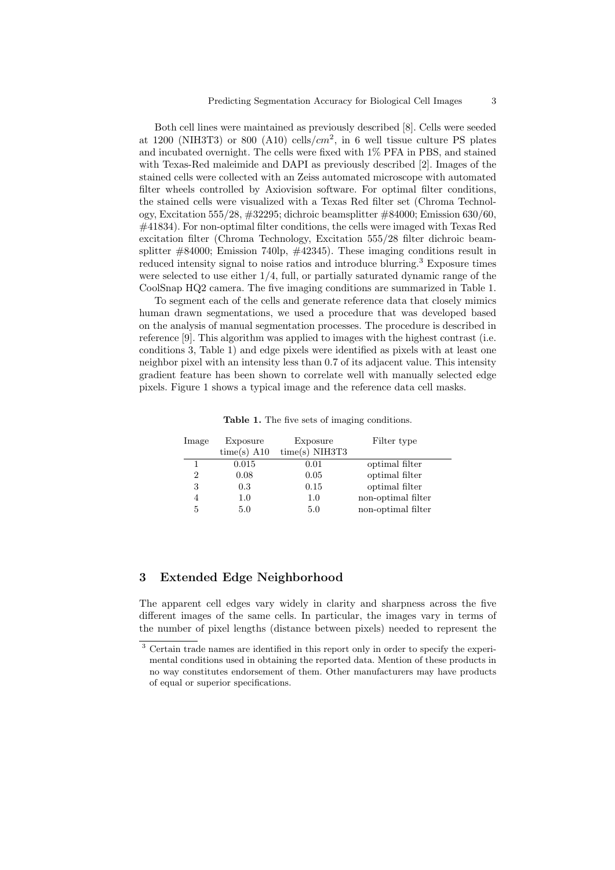Both cell lines were maintained as previously described [8]. Cells were seeded at 1200 (NIH3T3) or 800 (A10) cells/ $cm^2$ , in 6 well tissue culture PS plates and incubated overnight. The cells were fixed with 1% PFA in PBS, and stained with Texas-Red maleimide and DAPI as previously described [2]. Images of the stained cells were collected with an Zeiss automated microscope with automated filter wheels controlled by Axiovision software. For optimal filter conditions, the stained cells were visualized with a Texas Red filter set (Chroma Technology, Excitation 555/28, #32295; dichroic beamsplitter #84000; Emission 630/60, #41834). For non-optimal filter conditions, the cells were imaged with Texas Red excitation filter (Chroma Technology, Excitation 555/28 filter dichroic beamsplitter #84000; Emission 740lp, #42345). These imaging conditions result in reduced intensity signal to noise ratios and introduce blurring.<sup>3</sup> Exposure times were selected to use either 1/4, full, or partially saturated dynamic range of the CoolSnap HQ2 camera. The five imaging conditions are summarized in Table 1.

To segment each of the cells and generate reference data that closely mimics human drawn segmentations, we used a procedure that was developed based on the analysis of manual segmentation processes. The procedure is described in reference [9]. This algorithm was applied to images with the highest contrast (i.e. conditions 3, Table 1) and edge pixels were identified as pixels with at least one neighbor pixel with an intensity less than 0.7 of its adjacent value. This intensity gradient feature has been shown to correlate well with manually selected edge pixels. Figure 1 shows a typical image and the reference data cell masks.

| Image          | Exposure      | Exposure         | Filter type        |
|----------------|---------------|------------------|--------------------|
|                | $time(s)$ A10 | $time(s)$ NIH3T3 |                    |
|                | 0.015         | 0.01             | optimal filter     |
| $\overline{2}$ | 0.08          | 0.05             | optimal filter     |
| 3              | 0.3           | 0.15             | optimal filter     |
| 4              | 1.0           | 1.0              | non-optimal filter |
| 5              | 5.0           | 5.0              | non-optimal filter |

Table 1. The five sets of imaging conditions.

# 3 Extended Edge Neighborhood

The apparent cell edges vary widely in clarity and sharpness across the five different images of the same cells. In particular, the images vary in terms of the number of pixel lengths (distance between pixels) needed to represent the

<sup>3</sup> Certain trade names are identified in this report only in order to specify the experimental conditions used in obtaining the reported data. Mention of these products in no way constitutes endorsement of them. Other manufacturers may have products of equal or superior specifications.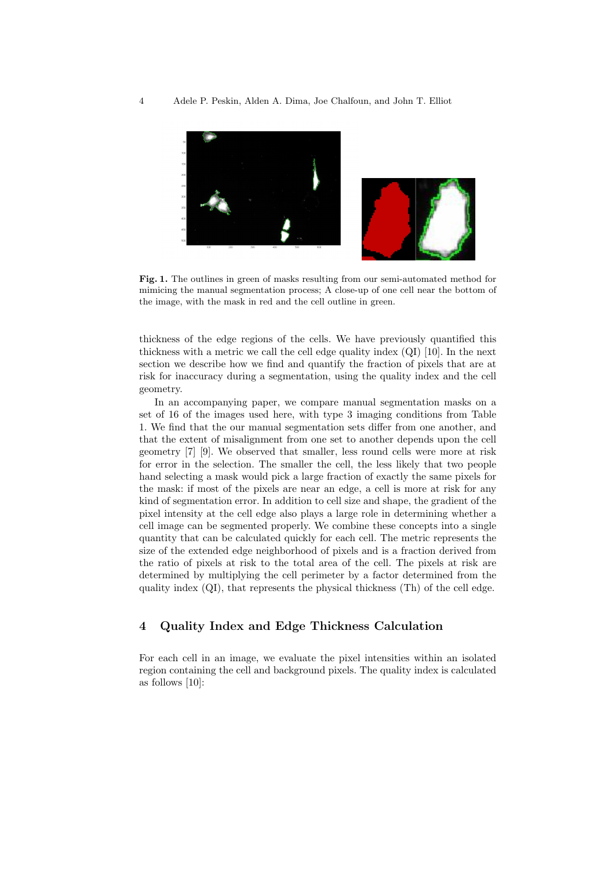

Fig. 1. The outlines in green of masks resulting from our semi-automated method for mimicing the manual segmentation process; A close-up of one cell near the bottom of the image, with the mask in red and the cell outline in green.

thickness of the edge regions of the cells. We have previously quantified this thickness with a metric we call the cell edge quality index (QI) [10]. In the next section we describe how we find and quantify the fraction of pixels that are at risk for inaccuracy during a segmentation, using the quality index and the cell geometry.

In an accompanying paper, we compare manual segmentation masks on a set of 16 of the images used here, with type 3 imaging conditions from Table 1. We find that the our manual segmentation sets differ from one another, and that the extent of misalignment from one set to another depends upon the cell geometry [7] [9]. We observed that smaller, less round cells were more at risk for error in the selection. The smaller the cell, the less likely that two people hand selecting a mask would pick a large fraction of exactly the same pixels for the mask: if most of the pixels are near an edge, a cell is more at risk for any kind of segmentation error. In addition to cell size and shape, the gradient of the pixel intensity at the cell edge also plays a large role in determining whether a cell image can be segmented properly. We combine these concepts into a single quantity that can be calculated quickly for each cell. The metric represents the size of the extended edge neighborhood of pixels and is a fraction derived from the ratio of pixels at risk to the total area of the cell. The pixels at risk are determined by multiplying the cell perimeter by a factor determined from the quality index (QI), that represents the physical thickness (Th) of the cell edge.

# 4 Quality Index and Edge Thickness Calculation

For each cell in an image, we evaluate the pixel intensities within an isolated region containing the cell and background pixels. The quality index is calculated as follows [10]: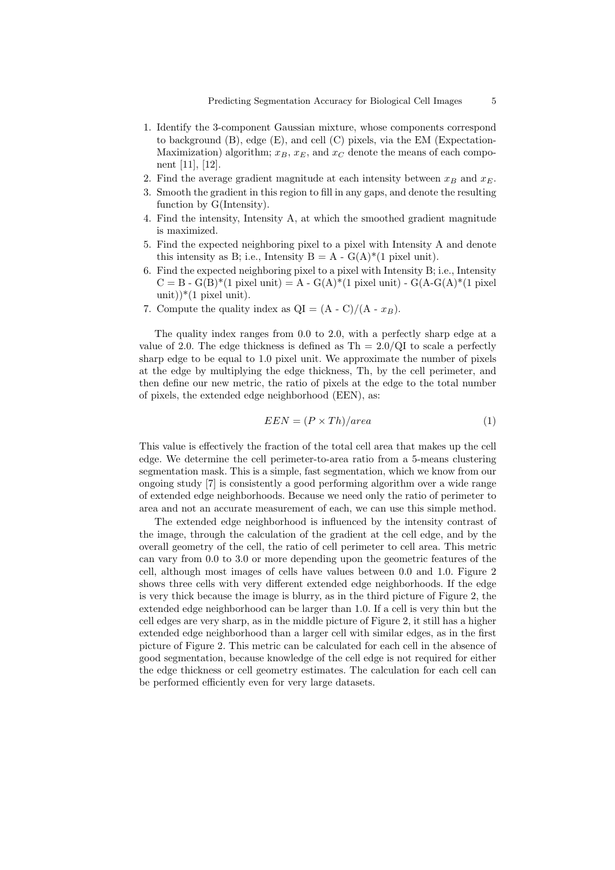- 1. Identify the 3-component Gaussian mixture, whose components correspond to background (B), edge (E), and cell (C) pixels, via the EM (Expectation-Maximization) algorithm;  $x_B, x_E$ , and  $x_C$  denote the means of each component [11], [12].
- 2. Find the average gradient magnitude at each intensity between  $x_B$  and  $x_E$ .
- 3. Smooth the gradient in this region to fill in any gaps, and denote the resulting function by G(Intensity).
- 4. Find the intensity, Intensity A, at which the smoothed gradient magnitude is maximized.
- 5. Find the expected neighboring pixel to a pixel with Intensity A and denote this intensity as B; i.e., Intensity  $B = A - G(A)^*(1)$  pixel unit).
- 6. Find the expected neighboring pixel to a pixel with Intensity B; i.e., Intensity  $C = B - G(B)$ <sup>\*</sup>(1 pixel unit) = A - G(A)<sup>\*</sup>(1 pixel unit) - G(A-G(A)<sup>\*</sup>(1 pixel unit)) $*(1 \text{ pixel unit}).$
- 7. Compute the quality index as  $QI = (A C)/(A x_B)$ .

The quality index ranges from 0.0 to 2.0, with a perfectly sharp edge at a value of 2.0. The edge thickness is defined as  $Th = 2.0/QI$  to scale a perfectly sharp edge to be equal to 1.0 pixel unit. We approximate the number of pixels at the edge by multiplying the edge thickness, Th, by the cell perimeter, and then define our new metric, the ratio of pixels at the edge to the total number of pixels, the extended edge neighborhood (EEN), as:

$$
EEN = (P \times Th)/area \tag{1}
$$

This value is effectively the fraction of the total cell area that makes up the cell edge. We determine the cell perimeter-to-area ratio from a 5-means clustering segmentation mask. This is a simple, fast segmentation, which we know from our ongoing study [7] is consistently a good performing algorithm over a wide range of extended edge neighborhoods. Because we need only the ratio of perimeter to area and not an accurate measurement of each, we can use this simple method.

The extended edge neighborhood is influenced by the intensity contrast of the image, through the calculation of the gradient at the cell edge, and by the overall geometry of the cell, the ratio of cell perimeter to cell area. This metric can vary from 0.0 to 3.0 or more depending upon the geometric features of the cell, although most images of cells have values between 0.0 and 1.0. Figure 2 shows three cells with very different extended edge neighborhoods. If the edge is very thick because the image is blurry, as in the third picture of Figure 2, the extended edge neighborhood can be larger than 1.0. If a cell is very thin but the cell edges are very sharp, as in the middle picture of Figure 2, it still has a higher extended edge neighborhood than a larger cell with similar edges, as in the first picture of Figure 2. This metric can be calculated for each cell in the absence of good segmentation, because knowledge of the cell edge is not required for either the edge thickness or cell geometry estimates. The calculation for each cell can be performed efficiently even for very large datasets.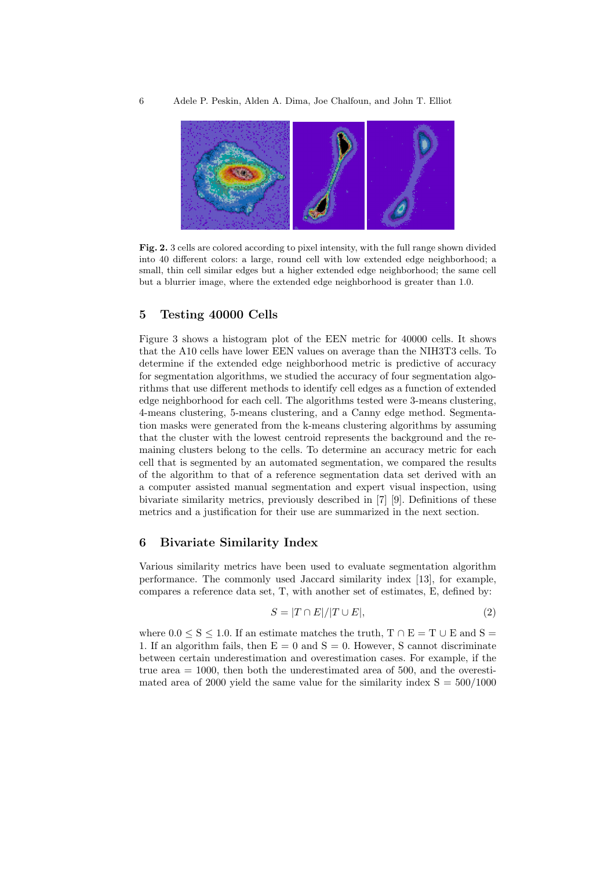

Fig. 2. 3 cells are colored according to pixel intensity, with the full range shown divided into 40 different colors: a large, round cell with low extended edge neighborhood; a small, thin cell similar edges but a higher extended edge neighborhood; the same cell but a blurrier image, where the extended edge neighborhood is greater than 1.0.

### 5 Testing 40000 Cells

Figure 3 shows a histogram plot of the EEN metric for 40000 cells. It shows that the A10 cells have lower EEN values on average than the NIH3T3 cells. To determine if the extended edge neighborhood metric is predictive of accuracy for segmentation algorithms, we studied the accuracy of four segmentation algorithms that use different methods to identify cell edges as a function of extended edge neighborhood for each cell. The algorithms tested were 3-means clustering, 4-means clustering, 5-means clustering, and a Canny edge method. Segmentation masks were generated from the k-means clustering algorithms by assuming that the cluster with the lowest centroid represents the background and the remaining clusters belong to the cells. To determine an accuracy metric for each cell that is segmented by an automated segmentation, we compared the results of the algorithm to that of a reference segmentation data set derived with an a computer assisted manual segmentation and expert visual inspection, using bivariate similarity metrics, previously described in [7] [9]. Definitions of these metrics and a justification for their use are summarized in the next section.

# 6 Bivariate Similarity Index

Various similarity metrics have been used to evaluate segmentation algorithm performance. The commonly used Jaccard similarity index [13], for example, compares a reference data set, T, with another set of estimates, E, defined by:

$$
S = |T \cap E| / |T \cup E|,\tag{2}
$$

where  $0.0 \le S \le 1.0$ . If an estimate matches the truth,  $T \cap E = T \cup E$  and  $S =$ 1. If an algorithm fails, then  $E = 0$  and  $S = 0$ . However, S cannot discriminate between certain underestimation and overestimation cases. For example, if the true area = 1000, then both the underestimated area of 500, and the overestimated area of 2000 yield the same value for the similarity index  $S = 500/1000$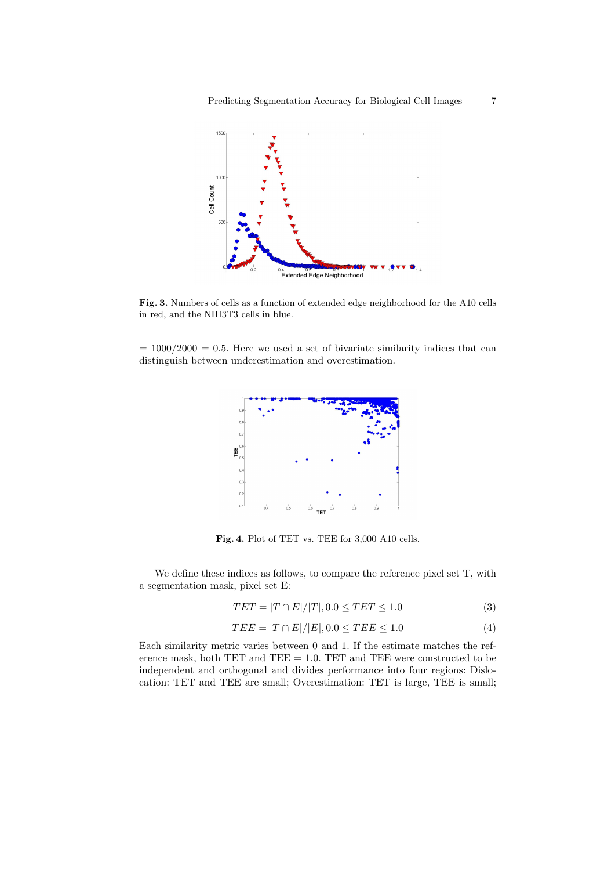

Fig. 3. Numbers of cells as a function of extended edge neighborhood for the A10 cells in red, and the NIH3T3 cells in blue.

 $= 1000/2000 = 0.5$ . Here we used a set of bivariate similarity indices that can distinguish between underestimation and overestimation.



Fig. 4. Plot of TET vs. TEE for 3,000 A10 cells.

We define these indices as follows, to compare the reference pixel set T, with a segmentation mask, pixel set E:

$$
TET = |T \cap E| / |T|, 0.0 \le TET \le 1.0 \tag{3}
$$

$$
TEE = |T \cap E| / |E|, 0.0 \leq TEE \leq 1.0 \tag{4}
$$

Each similarity metric varies between 0 and 1. If the estimate matches the reference mask, both TET and TEE  $= 1.0$ . TET and TEE were constructed to be independent and orthogonal and divides performance into four regions: Dislocation: TET and TEE are small; Overestimation: TET is large, TEE is small;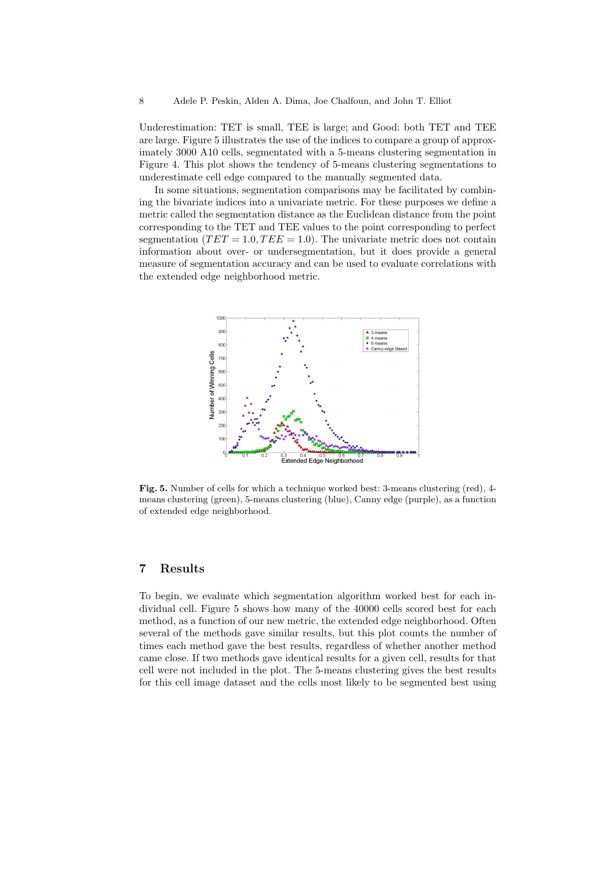Underestimation: TET is small, TEE is large; and Good: both TET and TEE are large. Figure 5 illustrates the use of the indices to compare a group of approximately 3000 A10 cells, segmentated with a 5-means clustering segmentation in Figure 4. This plot shows the tendency of 5-means clustering segmentations to underestimate cell edge compared to the manually segmented data.

In some situations, segmentation comparisons may be facilitated by combining the bivariate indices into a univariate metric. For these purposes we define a metric called the segmentation distance as the Euclidean distance from the point corresponding to the TET and TEE values to the point corresponding to perfect segmentation  $(TET = 1.0, TEE = 1.0)$ . The univariate metric does not contain information about over- or undersegmentation, but it does provide a general measure of segmentation accuracy and can be used to evaluate correlations with the extended edge neighborhood metric.



Fig. 5. Number of cells for which a technique worked best: 3-means clustering (red), 4 means clustering (green), 5-means clustering (blue), Canny edge (purple), as a function of extended edge neighborhood.

#### 7 Results

To begin, we evaluate which segmentation algorithm worked best for each individual cell. Figure 5 shows how many of the 40000 cells scored best for each method, as a function of our new metric, the extended edge neighborhood. Often several of the methods gave similar results, but this plot counts the number of times each method gave the best results, regardless of whether another method came close. If two methods gave identical results for a given cell, results for that cell were not included in the plot. The 5-means clustering gives the best results for this cell image dataset and the cells most likely to be segmented best using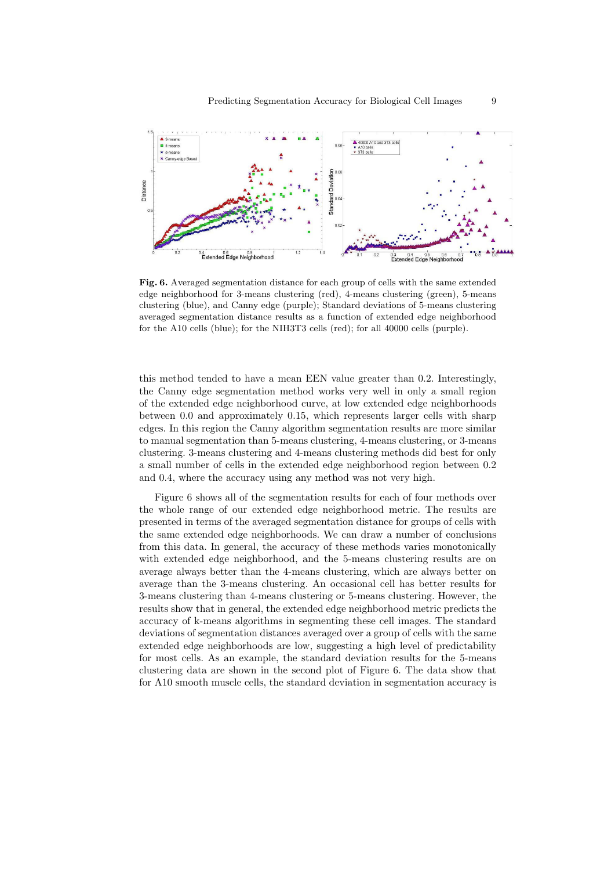

Fig. 6. Averaged segmentation distance for each group of cells with the same extended edge neighborhood for 3-means clustering (red), 4-means clustering (green), 5-means clustering (blue), and Canny edge (purple); Standard deviations of 5-means clustering averaged segmentation distance results as a function of extended edge neighborhood for the A10 cells (blue); for the NIH3T3 cells (red); for all 40000 cells (purple).

this method tended to have a mean EEN value greater than 0.2. Interestingly, the Canny edge segmentation method works very well in only a small region of the extended edge neighborhood curve, at low extended edge neighborhoods between 0.0 and approximately 0.15, which represents larger cells with sharp edges. In this region the Canny algorithm segmentation results are more similar to manual segmentation than 5-means clustering, 4-means clustering, or 3-means clustering. 3-means clustering and 4-means clustering methods did best for only a small number of cells in the extended edge neighborhood region between 0.2 and 0.4, where the accuracy using any method was not very high.

Figure 6 shows all of the segmentation results for each of four methods over the whole range of our extended edge neighborhood metric. The results are presented in terms of the averaged segmentation distance for groups of cells with the same extended edge neighborhoods. We can draw a number of conclusions from this data. In general, the accuracy of these methods varies monotonically with extended edge neighborhood, and the 5-means clustering results are on average always better than the 4-means clustering, which are always better on average than the 3-means clustering. An occasional cell has better results for 3-means clustering than 4-means clustering or 5-means clustering. However, the results show that in general, the extended edge neighborhood metric predicts the accuracy of k-means algorithms in segmenting these cell images. The standard deviations of segmentation distances averaged over a group of cells with the same extended edge neighborhoods are low, suggesting a high level of predictability for most cells. As an example, the standard deviation results for the 5-means clustering data are shown in the second plot of Figure 6. The data show that for A10 smooth muscle cells, the standard deviation in segmentation accuracy is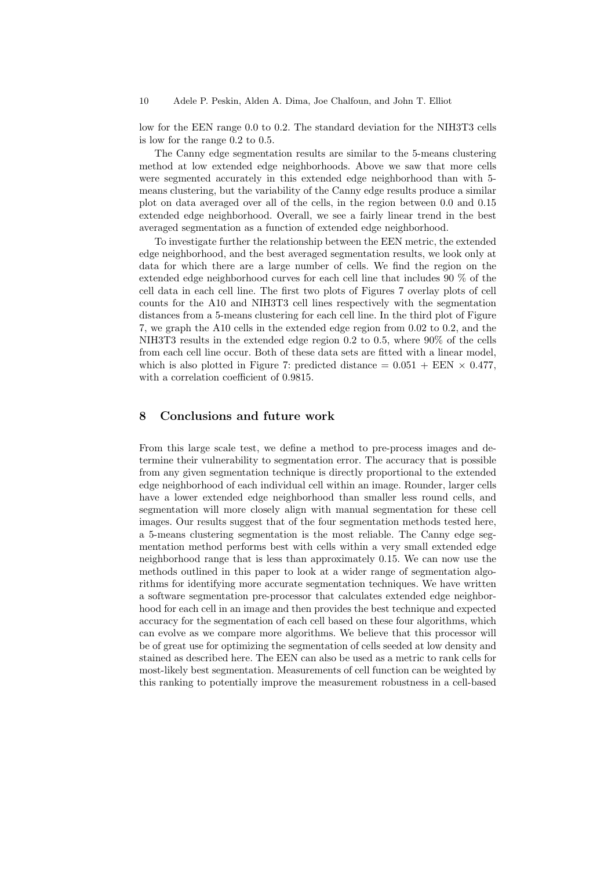low for the EEN range 0.0 to 0.2. The standard deviation for the NIH3T3 cells is low for the range 0.2 to 0.5.

The Canny edge segmentation results are similar to the 5-means clustering method at low extended edge neighborhoods. Above we saw that more cells were segmented accurately in this extended edge neighborhood than with 5 means clustering, but the variability of the Canny edge results produce a similar plot on data averaged over all of the cells, in the region between 0.0 and 0.15 extended edge neighborhood. Overall, we see a fairly linear trend in the best averaged segmentation as a function of extended edge neighborhood.

To investigate further the relationship between the EEN metric, the extended edge neighborhood, and the best averaged segmentation results, we look only at data for which there are a large number of cells. We find the region on the extended edge neighborhood curves for each cell line that includes 90 % of the cell data in each cell line. The first two plots of Figures 7 overlay plots of cell counts for the A10 and NIH3T3 cell lines respectively with the segmentation distances from a 5-means clustering for each cell line. In the third plot of Figure 7, we graph the A10 cells in the extended edge region from 0.02 to 0.2, and the NIH3T3 results in the extended edge region 0.2 to 0.5, where 90% of the cells from each cell line occur. Both of these data sets are fitted with a linear model, which is also plotted in Figure 7: predicted distance  $= 0.051 + EEN \times 0.477$ , with a correlation coefficient of 0.9815.

### 8 Conclusions and future work

From this large scale test, we define a method to pre-process images and determine their vulnerability to segmentation error. The accuracy that is possible from any given segmentation technique is directly proportional to the extended edge neighborhood of each individual cell within an image. Rounder, larger cells have a lower extended edge neighborhood than smaller less round cells, and segmentation will more closely align with manual segmentation for these cell images. Our results suggest that of the four segmentation methods tested here, a 5-means clustering segmentation is the most reliable. The Canny edge segmentation method performs best with cells within a very small extended edge neighborhood range that is less than approximately 0.15. We can now use the methods outlined in this paper to look at a wider range of segmentation algorithms for identifying more accurate segmentation techniques. We have written a software segmentation pre-processor that calculates extended edge neighborhood for each cell in an image and then provides the best technique and expected accuracy for the segmentation of each cell based on these four algorithms, which can evolve as we compare more algorithms. We believe that this processor will be of great use for optimizing the segmentation of cells seeded at low density and stained as described here. The EEN can also be used as a metric to rank cells for most-likely best segmentation. Measurements of cell function can be weighted by this ranking to potentially improve the measurement robustness in a cell-based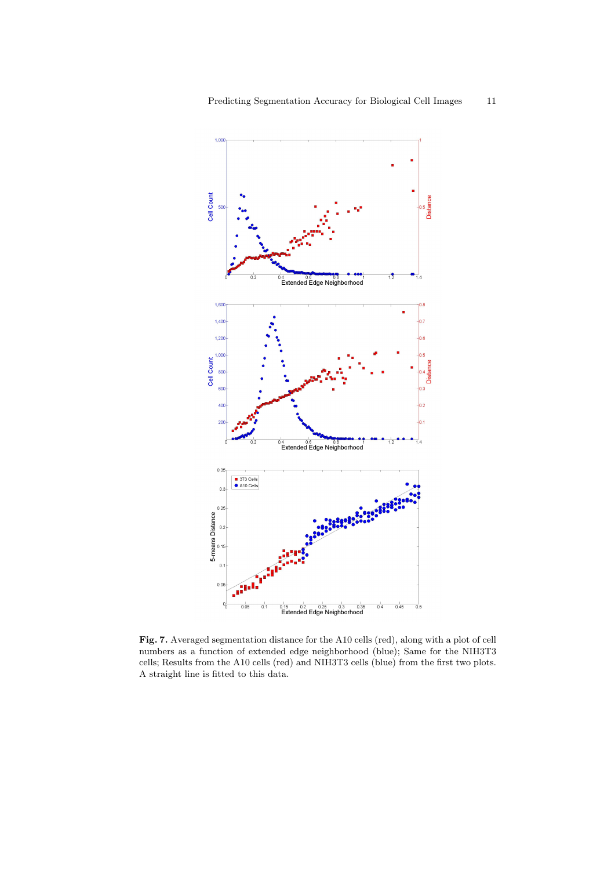

Fig. 7. Averaged segmentation distance for the A10 cells (red), along with a plot of cell numbers as a function of extended edge neighborhood (blue); Same for the NIH3T3 cells; Results from the A10 cells (red) and NIH3T3 cells (blue) from the first two plots. A straight line is fitted to this data.